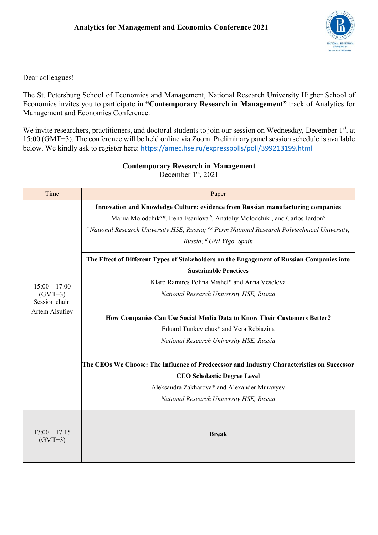

Dear colleagues!

The St. Petersburg School of Economics and Management, National Research University Higher School of Economics invites you to participate in **³Contemporary Research in Management´** track of Analytics for Management and Economics Conference.

We invite researchers, practitioners, and doctoral students to join our session on Wednesday, December 1<sup>st</sup>, at 15:00 (GMT+3). The conference will be held online via Zoom. Preliminary panel session schedule is available below. We kindly ask to register here: https://amec.hse.ru/expresspolls/poll/399213199.html

| Time                                                                    | Paper                                                                                                                           |
|-------------------------------------------------------------------------|---------------------------------------------------------------------------------------------------------------------------------|
| $15:00 - 17:00$<br>$(GMT+3)$<br>Session chair:<br><b>Artem Alsufiev</b> | Innovation and Knowledge Culture: evidence from Russian manufacturing companies                                                 |
|                                                                         | Mariia Molodchik <sup>a*</sup> , Irena Esaulova <sup>b</sup> , Anatoliy Molodchik <sup>c</sup> , and Carlos Jardon <sup>d</sup> |
|                                                                         | <sup><i>a</i></sup> National Research University HSE, Russia; $^{b,c}$ Perm National Research Polytechnical University,         |
|                                                                         | Russia; <sup>d</sup> UNI Vigo, Spain                                                                                            |
|                                                                         | The Effect of Different Types of Stakeholders on the Engagement of Russian Companies into                                       |
|                                                                         | <b>Sustainable Practices</b>                                                                                                    |
|                                                                         | Klaro Ramires Polina Mishel* and Anna Veselova                                                                                  |
|                                                                         | National Research University HSE, Russia                                                                                        |
|                                                                         | How Companies Can Use Social Media Data to Know Their Customers Better?                                                         |
|                                                                         | Eduard Tunkevichus* and Vera Rebiazina                                                                                          |
|                                                                         | National Research University HSE, Russia                                                                                        |
|                                                                         | The CEOs We Choose: The Influence of Predecessor and Industry Characteristics on Successor                                      |
|                                                                         | <b>CEO Scholastic Degree Level</b>                                                                                              |
|                                                                         | Aleksandra Zakharova* and Alexander Muravyev                                                                                    |
|                                                                         | National Research University HSE, Russia                                                                                        |
|                                                                         |                                                                                                                                 |
| $17:00 - 17:15$<br>$(GMT+3)$                                            | <b>Break</b>                                                                                                                    |
|                                                                         |                                                                                                                                 |

**Contemporary Research in Management**

December  $1<sup>st</sup>$ , 2021